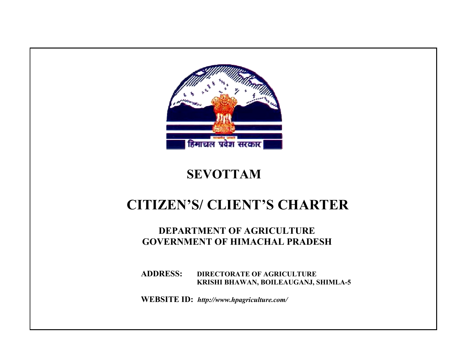

# **SEVOTTAM**

# **CITIZEN'S/ CLIENT'S CHARTER**

## **DEPARTMENT OF AGRICULTURE GOVERNMENT OF HIMACHAL PRADESH**

 **ADDRESS: DIRECTORATE OF AGRICULTURE KRISHI BHAWAN, BOILEAUGANJ, SHIMLA-5** 

 **WEBSITE ID:** *http://www.hpagriculture.com/*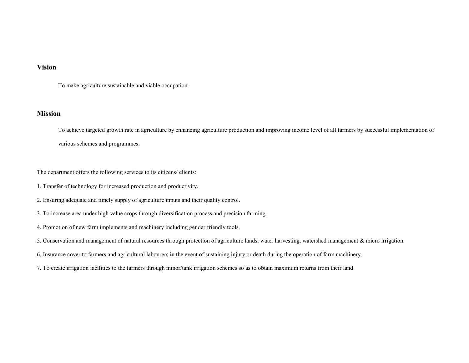## **Vision**

To make agriculture sustainable and viable occupation.

### **Mission**

To achieve targeted growth rate in agriculture by enhancing agriculture production and improving income level of all farmers by successful implementation of various schemes and programmes.

The department offers the following services to its citizens/ clients:

- 1. Transfer of technology for increased production and productivity.
- 2. Ensuring adequate and timely supply of agriculture inputs and their quality control.
- 3. To increase area under high value crops through diversification process and precision farming.
- 4. Promotion of new farm implements and machinery including gender friendly tools.

5. Conservation and management of natural resources through protection of agriculture lands, water harvesting, watershed management & micro irrigation.

6. Insurance cover to farmers and agricultural labourers in the event of sustaining injury or death during the operation of farm machinery.

7. To create irrigation facilities to the farmers through minor/tank irrigation schemes so as to obtain maximum returns from their land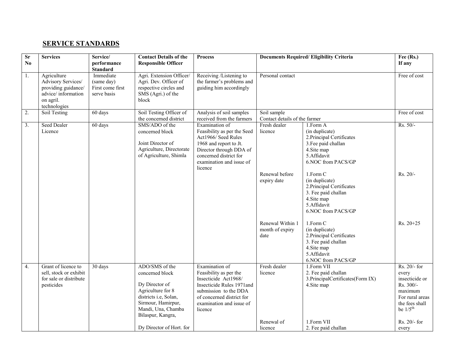## **SERVICE STANDARDS**

| <b>Sr</b><br>No | <b>Services</b>                                                                                             | Service/<br>performance<br><b>Standard</b>                 | <b>Contact Details of the</b><br><b>Responsible Officer</b>                                                                                   | <b>Process</b>                                                                                                                                                                             |                                                                                                         | <b>Documents Required/Eligibility Criteria</b>                                                                                                                                                                                                                                                                                                                                                                    | Fee (Rs.)<br>If any                                                                                                            |
|-----------------|-------------------------------------------------------------------------------------------------------------|------------------------------------------------------------|-----------------------------------------------------------------------------------------------------------------------------------------------|--------------------------------------------------------------------------------------------------------------------------------------------------------------------------------------------|---------------------------------------------------------------------------------------------------------|-------------------------------------------------------------------------------------------------------------------------------------------------------------------------------------------------------------------------------------------------------------------------------------------------------------------------------------------------------------------------------------------------------------------|--------------------------------------------------------------------------------------------------------------------------------|
| 1.              | Agriculture<br>Advisory Services/<br>providing guidance/<br>advice/information<br>on agril.<br>technologies | Immediate<br>(same day)<br>First come first<br>serve basis | Agri. Extension Officer/<br>Agri. Dev. Officer of<br>respective circles and<br>SMS (Agri.) of the<br>block                                    | Receiving /Listening to<br>the farmer's problems and<br>guiding him accordingly                                                                                                            | Personal contact                                                                                        |                                                                                                                                                                                                                                                                                                                                                                                                                   | Free of cost                                                                                                                   |
| 2.              | Soil Testing                                                                                                | 60 days                                                    | Soil Testing Officer of<br>the concerned district                                                                                             | Analysis of soil samples<br>received from the farmers                                                                                                                                      | Soil sample<br>Contact details of the farmer                                                            |                                                                                                                                                                                                                                                                                                                                                                                                                   | Free of cost                                                                                                                   |
| 3.              | Seed Dealer<br>Licence                                                                                      | 60 days                                                    | SMS/ADO of the<br>concerned block<br>Joint Director of<br>Agriculture, Directorate<br>of Agriculture, Shimla                                  | Examination of<br>Feasibility as per the Seed<br>Act1966/ Seed Rules<br>1968 and report to Jt.<br>Director through DDA of<br>concerned district for<br>examination and issue of<br>licence | Fresh dealer<br>licence<br>Renewal before<br>expiry date<br>Renewal Within 1<br>month of expiry<br>date | $1.$ Form $A$<br>(in duplicate)<br>2. Principal Certificates<br>3. Fee paid challan<br>4.Site map<br>5.Affidavit<br>6.NOC from PACS/GP<br>1.Form C<br>(in duplicate)<br>2. Principal Certificates<br>3. Fee paid challan<br>4. Site map<br>5.Affidavit<br>6.NOC from PACS/GP<br>1.Form C<br>(in duplicate)<br>2. Principal Certificates<br>3. Fee paid challan<br>4.Site map<br>5.Affidavit<br>6.NOC from PACS/GP | Rs. 50/-<br>Rs. 20/-<br>Rs. 20+25                                                                                              |
| 4.              | Grant of licence to<br>sell, stock or exhibit<br>for sale or distribute<br>pesticides                       | 30 days                                                    | ADO/SMS of the<br>concerned block<br>Dy Director of<br>Agriculture for 8<br>districts i.e, Solan,<br>Sirmour, Hamirpur,<br>Mandi, Una, Chamba | Examination of<br>Feasibility as per the<br>Insecticide Act1968/<br>Insecticide Rules 1971and<br>submission to the DDA<br>of concerned district for<br>examination and issue of            | Fresh dealer<br>licence                                                                                 | 1.Form VII<br>2. Fee paid challan<br>3. PrincipalCertificates (Form IX)<br>4. Site map                                                                                                                                                                                                                                                                                                                            | Rs. 20/- for<br>every<br>insecticide or<br>Rs. 300/-<br>maximum<br>For rural areas<br>the fees shall<br>be $1/5$ <sup>th</sup> |
|                 |                                                                                                             |                                                            | Bilaspur, Kangra,<br>Dy Director of Hort. for                                                                                                 | licence                                                                                                                                                                                    | Renewal of<br>licence                                                                                   | 1.Form VII<br>2. Fee paid challan                                                                                                                                                                                                                                                                                                                                                                                 | Rs. 20/- for<br>every                                                                                                          |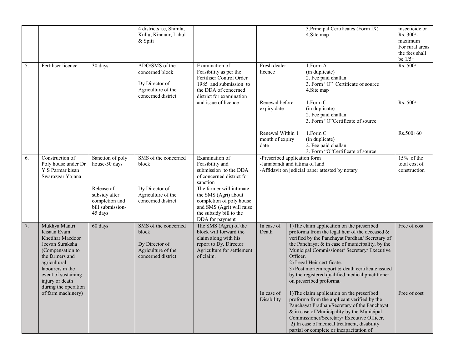|    |                                                                                                                                                                                                                  |                                                                              | 4 districts i.e, Shimla,<br>Kullu, Kinnaur, Lahul<br>& Spiti                                    |                                                                                                                                                         |                                                                                                                  |          | 3. Principal Certificates (Form IX)<br>4. Site map                                                                                                                                                                                                                                                                                                                                                                        | insecticide or<br>Rs. 300/-<br>maximum<br>For rural areas<br>the fees shall<br>be $1/5$ <sup>th</sup> |
|----|------------------------------------------------------------------------------------------------------------------------------------------------------------------------------------------------------------------|------------------------------------------------------------------------------|-------------------------------------------------------------------------------------------------|---------------------------------------------------------------------------------------------------------------------------------------------------------|------------------------------------------------------------------------------------------------------------------|----------|---------------------------------------------------------------------------------------------------------------------------------------------------------------------------------------------------------------------------------------------------------------------------------------------------------------------------------------------------------------------------------------------------------------------------|-------------------------------------------------------------------------------------------------------|
| 5. | Fertiliser licence                                                                                                                                                                                               | 30 days                                                                      | ADO/SMS of the<br>concerned block<br>Dy Director of<br>Agriculture of the<br>concerned district | Examination of<br>Feasibility as per the<br>Fertiliser Control Order<br>1985 and submission to<br>the DDA of concerned<br>district for examination      | Fresh dealer<br>licence                                                                                          |          | 1.Form A<br>(in duplicate)<br>2. Fee paid challan<br>3. Form "O" Certificate of source<br>4.Site map                                                                                                                                                                                                                                                                                                                      | Rs. 500/-                                                                                             |
|    |                                                                                                                                                                                                                  |                                                                              |                                                                                                 | and issue of licence                                                                                                                                    | Renewal before<br>expiry date                                                                                    |          | 1.Form C<br>(in duplicate)<br>2. Fee paid challan<br>3. Form "O"Certificate of source                                                                                                                                                                                                                                                                                                                                     | Rs. 500/-                                                                                             |
|    |                                                                                                                                                                                                                  |                                                                              |                                                                                                 |                                                                                                                                                         | Renewal Within 1<br>month of expiry<br>date                                                                      |          | 1.Form C<br>(in duplicate)<br>2. Fee paid challan<br>3. Form "O"Certificate of source                                                                                                                                                                                                                                                                                                                                     | Rs.500+60                                                                                             |
| 6. | Construction of<br>Poly house under Dr<br>Y S Parmar kisan<br>Swarozgar Yojana                                                                                                                                   | Sanction of poly<br>house-50 days                                            | SMS of the concerned<br>block                                                                   | Examination of<br>Feasibility and<br>submission to the DDA<br>of concerned district for<br>sanction                                                     | -Prescribed application form<br>-Jamabandi and tatima of land<br>-Affidavit on judicial paper attested by notary |          | $15%$ of the<br>total cost of<br>construction                                                                                                                                                                                                                                                                                                                                                                             |                                                                                                       |
|    |                                                                                                                                                                                                                  | Release of<br>subsidy after<br>completion and<br>bill submission-<br>45 days | Dy Director of<br>Agriculture of the<br>concerned district                                      | The farmer will intimate<br>the SMS (Agri) about<br>completion of poly house<br>and SMS (Agri) will raise<br>the subsidy bill to the<br>DDA for payment |                                                                                                                  |          |                                                                                                                                                                                                                                                                                                                                                                                                                           |                                                                                                       |
| 7. | Mukhya Mantri<br>Kisaan Evam<br>Khetihar Mazdoor<br>Jeevan Suraksha<br>(Compensation to<br>the farmers and<br>agricultural<br>labourers in the<br>event of sustaining<br>injury or death<br>during the operation | 60 days                                                                      | SMS of the concerned<br>block<br>Dy Director of<br>Agriculture of the<br>concerned district     | The SMS (Agri.) of the<br>block will forward the<br>claim along with his<br>report to Dy. Director<br>Agriculture for settlement<br>of claim.           | In case of<br>Death                                                                                              | Officer. | 1) The claim application on the prescribed<br>proforma from the legal heir of the deceased $\&$<br>verified by the Panchayat Pardhan/ Secretary of<br>the Panchayat $\&$ in case of municipality, by the<br>Municipal Commissioner/ Secretary/ Executive<br>2) Legal Heir certificate.<br>3) Post mortem report & death certificate issued<br>by the registered qualified medical practitioner<br>on prescribed proforma. | Free of cost                                                                                          |
|    | of farm machinery)                                                                                                                                                                                               |                                                                              |                                                                                                 |                                                                                                                                                         | In case of<br>Disability                                                                                         |          | 1) The claim application on the prescribed<br>proforma from the applicant verified by the<br>Panchayat Pradhan/Secretary of the Panchayat<br>& in case of Municipality by the Municipal<br>Commissioner/Secretary/ Executive Officer.<br>2) In case of medical treatment, disability<br>partial or complete or incapacitation of                                                                                          | Free of cost                                                                                          |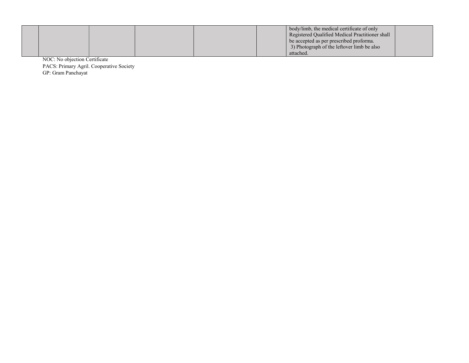|  |  |  | body/limb, the medical certificate of only<br>Registered Oualified Medical Practitioner shall |  |
|--|--|--|-----------------------------------------------------------------------------------------------|--|
|  |  |  | be accepted as per prescribed proforma.                                                       |  |
|  |  |  | 3) Photograph of the leftover limb be also                                                    |  |
|  |  |  | attached.                                                                                     |  |

NOC: No objection Certificate PACS: Primary Agril. Cooperative Society GP: Gram Panchayat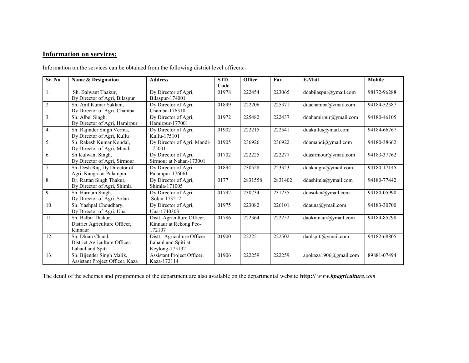## **Information on services:**

Information on the services can be obtained from the following district level officers:-

| Sr. No. | Name & Designation                                                    | <b>Address</b>                                                       | <b>STD</b><br>Code | Office  | Fax     | E.Mail                                           | <b>Mobile</b> |
|---------|-----------------------------------------------------------------------|----------------------------------------------------------------------|--------------------|---------|---------|--------------------------------------------------|---------------|
| 1.      | Sh. Balwant Thakur,<br>Dy Director of Agri, Bilaspur                  | Dy Director of Agri,<br>Bilaspur-174001                              | 01978              | 222454  | 223065  | ddabilaspur@ymail.com                            | 98172-96288   |
| 2.      | Sh. Anil Kumar Saklani,<br>Dy Director of Agri, Chamba                | Dy Director of Agri,<br>Chamba-176310                                | 01899              | 222206  | 225371  | ddachamba@ymail.com                              | 94184-52387   |
| 3.      | Sh. Albel Singh,<br>Dy Director of Agri, Hamirpur                     | Dy Director of Agri,<br>Hamirpur-177001                              | 01972              | 225482  | 222437  | ddahamirpur@ymail.com                            | 94180-46105   |
| 4.      | Sh. Rajinder Singh Verma,<br>Dy Director of Agri, Kullu               | Dy Director of Agri,<br>Kullu-175101                                 | 01902              | 222215  | 222541  | ddakullu@ymail.com                               | 94184-66767   |
| 5.      | Sh. Rakesh Kumar Kondal.<br>Dy Director of Agri, Mandi                | Dy Director of Agri, Mandi-<br>175001                                | 01905              | 236926  | 236922  | ddamandi@ymail.com                               | 94180-38662   |
| 6.      | Sh Kulwant Singh,<br>Dy Director of Agri, Sirmour                     | Dy Director of Agri,<br>Sirmour at Nahan-173001                      | 01702              | 222225  | 222277  | ddasirmour@ymail.com                             | 94183-37762   |
| 7.      | Sh. Desh Raj, Dy Director of<br>Agri, Kangra at Palampur              | Dy Director of Agri,<br>Palampur-176061                              | 01894              | 230528  | 223323  | ddakangra@ymail.com                              | 94180-17145   |
| 8.      | Dr. Rattan Singh Thakur,<br>Dy Director of Agri, Shimla               | Dy Director of Agri,<br>Shimla-171005                                | 0177               | 2831558 | 2831402 | ddashimla@ymail.com                              | 94180-77442   |
| 9.      | Sh. Harnam Singh.<br>Dy Director of Agri, Solan                       | Dy Director of Agri.<br>Solan-173212                                 | 01792              | 230734  | 231235  | ddasolan@ymail.com                               | 94180-05990   |
| 10.     | Sh. Yashpal Choudhary,<br>Dy Director of Agri, Una                    | Dy Director of Agri,<br>Una-1740303                                  | 01975              | 223082  | 226101  | ddauna@ymail.com                                 | 94183-30700   |
| 11.     | Sh. Balbir Thakur,<br>District Agriculture Officer,<br>Kinnaur        | Distt. Agriculture Officer,<br>Kinnaur at Rekong Peo-<br>172107      | 01786              | 222364  | 222252  | daokinnaur@ymail.com                             | 94184-85798   |
| 12.     | Sh. Dhian Chand,<br>District Agriculture Officer,<br>Lahaul and Spiti | Distt. Agriculture Officer,<br>Lahaul and Spiti at<br>Keylong-175132 | 01900              | 222251  | 222502  | $\overline{\text{daolspiti}(\hat{a})}$ ymail.com | 94182-68805   |
| 13.     | Sh. Bijender Singh Malik,<br>Assistant Project Officer, Kaza          | Assistant Project Officer,<br>Kaza-172114                            | 01906              | 222259  | 222259  | apokaza1906@gmail.com                            | 89881-07494   |

The detail of the schemes and programmes of the department are also available on the departmental website **http://** *www.hpagriculture.com*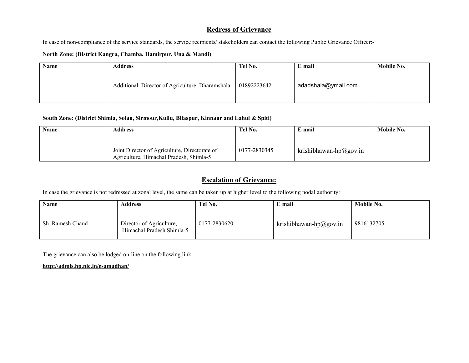## **Redress of Grievance**

In case of non-compliance of the service standards, the service recipients/ stakeholders can contact the following Public Grievance Officer:-

#### **North Zone: (District Kangra, Chamba, Hamirpur, Una & Mandi)**

| <b>Name</b> | Address                                         | Tel No.     | E mail              | Mobile No. |
|-------------|-------------------------------------------------|-------------|---------------------|------------|
|             |                                                 |             |                     |            |
|             | Additional Director of Agriculture, Dharamshala | 01892223642 | adadshala@ymail.com |            |
|             |                                                 |             |                     |            |

#### **South Zone: (District Shimla, Solan, Sirmour,Kullu, Bilaspur, Kinnaur and Lahul & Spiti)**

| <b>Name</b> | Address                                                                                  | Tel No.      | E mail                 | Mobile No. |
|-------------|------------------------------------------------------------------------------------------|--------------|------------------------|------------|
|             |                                                                                          |              |                        |            |
|             | Joint Director of Agriculture, Directorate of<br>Agriculture, Himachal Pradesh, Shimla-5 | 0177-2830345 | krishibhawan-hp@gov.in |            |

## **Escalation of Grievance:**

In case the grievance is not redressed at zonal level, the same can be taken up at higher level to the following nodal authority:

| <b>Name</b>     | Address                                               | Tel No.      | E mail                 | Mobile No. |
|-----------------|-------------------------------------------------------|--------------|------------------------|------------|
| Sh Ramesh Chand | Director of Agriculture,<br>Himachal Pradesh Shimla-5 | 0177-2830620 | krishibhawan-hp@gov.in | 9816132705 |

The grievance can also be lodged on-line on the following link:

#### **http://admis.hp.nic.in/esamadhan/**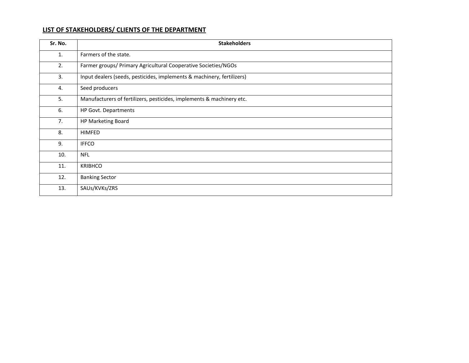## **LIST OF STAKEHOLDERS/ CLIENTS OF THE DEPARTMENT**

| Sr. No. | <b>Stakeholders</b>                                                    |
|---------|------------------------------------------------------------------------|
| 1.      | Farmers of the state.                                                  |
| 2.      | Farmer groups/ Primary Agricultural Cooperative Societies/NGOs         |
| 3.      | Input dealers (seeds, pesticides, implements & machinery, fertilizers) |
| 4.      | Seed producers                                                         |
| 5.      | Manufacturers of fertilizers, pesticides, implements & machinery etc.  |
| 6.      | HP Govt. Departments                                                   |
| 7.      | HP Marketing Board                                                     |
| 8.      | <b>HIMFED</b>                                                          |
| 9.      | <b>IFFCO</b>                                                           |
| 10.     | <b>NFL</b>                                                             |
| 11.     | <b>KRIBHCO</b>                                                         |
| 12.     | <b>Banking Sector</b>                                                  |
| 13.     | SAUs/KVKs/ZRS                                                          |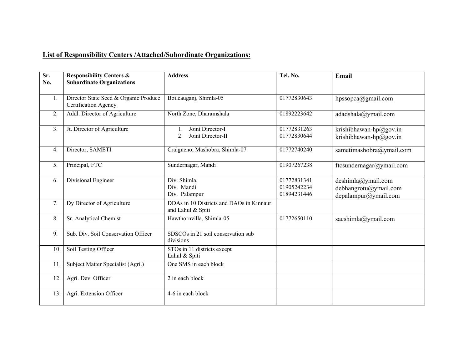## **List of Responsibility Centers /Attached/Subordinate Organizations:**

| Sr.<br>No. | <b>Responsibility Centers &amp;</b><br><b>Subordinate Organizations</b> | <b>Address</b>                                                              | Tel. No.                                  | Email                                                               |
|------------|-------------------------------------------------------------------------|-----------------------------------------------------------------------------|-------------------------------------------|---------------------------------------------------------------------|
| 1.         | Director State Seed & Organic Produce<br>Certification Agency           | Boileauganj, Shimla-05                                                      | 01772830643                               | hpssopca@gmail.com                                                  |
| 2.         | Addl. Director of Agriculture                                           | North Zone, Dharamshala                                                     | 01892223642                               | adadshala@ymail.com                                                 |
| 3.         | Jt. Director of Agriculture                                             | Joint Director-I<br>$\mathbf{1}$ .<br>Joint Director-II<br>$\overline{2}$ . | 01772831263<br>01772830644                | krishibhawan-hp@gov.in<br>krishibhawan-hp@gov.in                    |
| 4.         | Director, SAMETI                                                        | Craigneno, Mashobra, Shimla-07                                              | 01772740240                               | sametimashobra@ymail.com                                            |
| 5.         | Principal, FTC                                                          | Sundernagar, Mandi                                                          | 01907267238                               | ftcsundernagar@ymail.com                                            |
| 6.         | <b>Divisional Engineer</b>                                              | Div. Shimla,<br>Div. Mandi<br>Div. Palampur                                 | 01772831341<br>01905242234<br>01894231446 | deshimla@ymail.com<br>debhangrotu@ymail.com<br>depalampur@ymail.com |
| 7.         | Dy Director of Agriculture                                              | DDAs in 10 Districts and DAOs in Kinnaur<br>and Lahul & Spiti               |                                           |                                                                     |
| 8.         | Sr. Analytical Chemist                                                  | Hawthornvilla, Shimla-05                                                    | 01772650110                               | sacshimla@ymail.com                                                 |
| 9.         | Sub. Div. Soil Conservation Officer                                     | SDSCOs in 21 soil conservation sub<br>divisions                             |                                           |                                                                     |
| 10.        | Soil Testing Officer                                                    | $\overline{\text{STOs in 1}}$ districts except<br>Lahul & Spiti             |                                           |                                                                     |
| 11         | Subject Matter Specialist (Agri.)                                       | One SMS in each block                                                       |                                           |                                                                     |
| 12         | Agri. Dev. Officer                                                      | 2 in each block                                                             |                                           |                                                                     |
| 13.        | Agri. Extension Officer                                                 | 4-6 in each block                                                           |                                           |                                                                     |